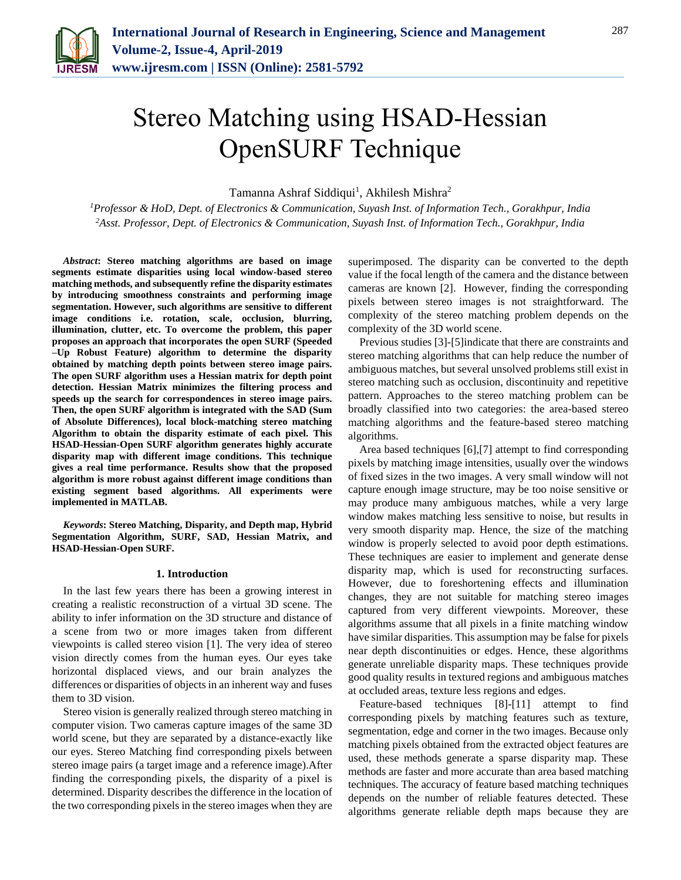

# Stereo Matching using HSAD-Hessian OpenSURF Technique

Tamanna Ashraf Siddiqui<sup>1</sup>, Akhilesh Mishra<sup>2</sup>

*<sup>1</sup>Professor & HoD, Dept. of Electronics & Communication, Suyash Inst. of Information Tech., Gorakhpur, India 2Asst. Professor, Dept. of Electronics & Communication, Suyash Inst. of Information Tech., Gorakhpur, India*

*Abstract***: Stereo matching algorithms are based on image segments estimate disparities using local window-based stereo matching methods, and subsequently refine the disparity estimates by introducing smoothness constraints and performing image segmentation. However, such algorithms are sensitive to different image conditions i.e. rotation, scale, occlusion, blurring, illumination, clutter, etc. To overcome the problem, this paper proposes an approach that incorporates the open SURF (Speeded –Up Robust Feature) algorithm to determine the disparity obtained by matching depth points between stereo image pairs. The open SURF algorithm uses a Hessian matrix for depth point detection. Hessian Matrix minimizes the filtering process and speeds up the search for correspondences in stereo image pairs. Then, the open SURF algorithm is integrated with the SAD (Sum of Absolute Differences), local block-matching stereo matching Algorithm to obtain the disparity estimate of each pixel. This HSAD-Hessian-Open SURF algorithm generates highly accurate disparity map with different image conditions. This technique gives a real time performance. Results show that the proposed algorithm is more robust against different image conditions than existing segment based algorithms. All experiments were implemented in MATLAB.**

*Keywords***: Stereo Matching, Disparity, and Depth map, Hybrid Segmentation Algorithm, SURF, SAD, Hessian Matrix, and HSAD-Hessian-Open SURF.**

## **1. Introduction**

In the last few years there has been a growing interest in creating a realistic reconstruction of a virtual 3D scene. The ability to infer information on the 3D structure and distance of a scene from two or more images taken from different viewpoints is called stereo vision [1]. The very idea of stereo vision directly comes from the human eyes. Our eyes take horizontal displaced views, and our brain analyzes the differences or disparities of objects in an inherent way and fuses them to 3D vision.

Stereo vision is generally realized through stereo matching in computer vision. Two cameras capture images of the same 3D world scene, but they are separated by a distance-exactly like our eyes. Stereo Matching find corresponding pixels between stereo image pairs (a target image and a reference image).After finding the corresponding pixels, the disparity of a pixel is determined. Disparity describes the difference in the location of the two corresponding pixels in the stereo images when they are

superimposed. The disparity can be converted to the depth value if the focal length of the camera and the distance between cameras are known [2]. However, finding the corresponding pixels between stereo images is not straightforward. The complexity of the stereo matching problem depends on the complexity of the 3D world scene.

Previous studies [3]-[5]indicate that there are constraints and stereo matching algorithms that can help reduce the number of ambiguous matches, but several unsolved problems still exist in stereo matching such as occlusion, discontinuity and repetitive pattern. Approaches to the stereo matching problem can be broadly classified into two categories: the area-based stereo matching algorithms and the feature-based stereo matching algorithms.

Area based techniques [6],[7] attempt to find corresponding pixels by matching image intensities, usually over the windows of fixed sizes in the two images. A very small window will not capture enough image structure, may be too noise sensitive or may produce many ambiguous matches, while a very large window makes matching less sensitive to noise, but results in very smooth disparity map. Hence, the size of the matching window is properly selected to avoid poor depth estimations. These techniques are easier to implement and generate dense disparity map, which is used for reconstructing surfaces. However, due to foreshortening effects and illumination changes, they are not suitable for matching stereo images captured from very different viewpoints. Moreover, these algorithms assume that all pixels in a finite matching window have similar disparities. This assumption may be false for pixels near depth discontinuities or edges. Hence, these algorithms generate unreliable disparity maps. These techniques provide good quality results in textured regions and ambiguous matches at occluded areas, texture less regions and edges.

Feature-based techniques [8]-[11] attempt to find corresponding pixels by matching features such as texture, segmentation, edge and corner in the two images. Because only matching pixels obtained from the extracted object features are used, these methods generate a sparse disparity map. These methods are faster and more accurate than area based matching techniques. The accuracy of feature based matching techniques depends on the number of reliable features detected. These algorithms generate reliable depth maps because they are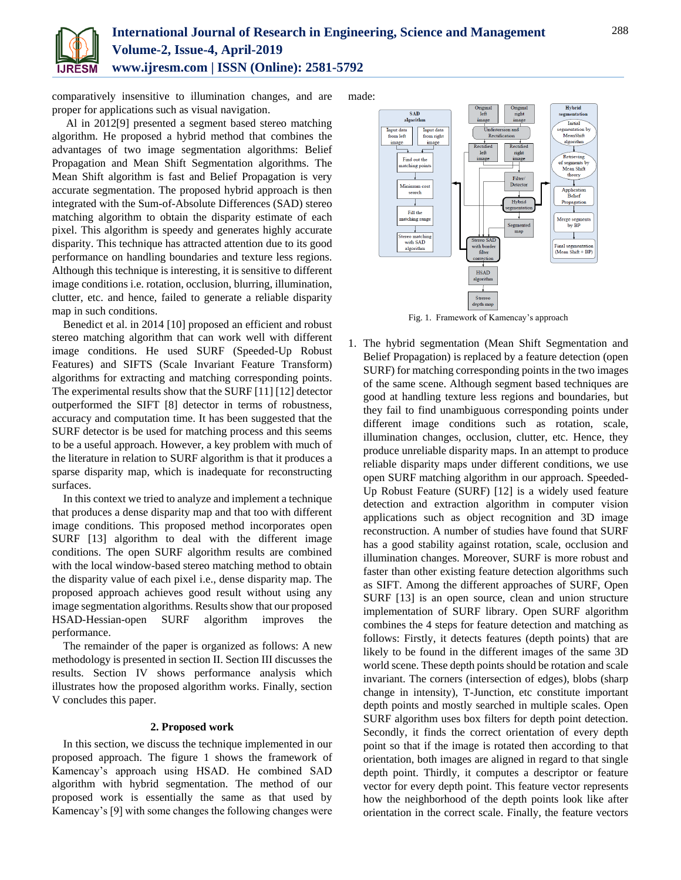

comparatively insensitive to illumination changes, and are proper for applications such as visual navigation.

Al in 2012[9] presented a segment based stereo matching algorithm. He proposed a hybrid method that combines the advantages of two image segmentation algorithms: Belief Propagation and Mean Shift Segmentation algorithms. The Mean Shift algorithm is fast and Belief Propagation is very accurate segmentation. The proposed hybrid approach is then integrated with the Sum-of-Absolute Differences (SAD) stereo matching algorithm to obtain the disparity estimate of each pixel. This algorithm is speedy and generates highly accurate disparity. This technique has attracted attention due to its good performance on handling boundaries and texture less regions. Although this technique is interesting, it is sensitive to different image conditions i.e. rotation, occlusion, blurring, illumination, clutter, etc. and hence, failed to generate a reliable disparity map in such conditions.

Benedict et al. in 2014 [10] proposed an efficient and robust stereo matching algorithm that can work well with different image conditions. He used SURF (Speeded-Up Robust Features) and SIFTS (Scale Invariant Feature Transform) algorithms for extracting and matching corresponding points. The experimental results show that the SURF [11] [12] detector outperformed the SIFT [8] detector in terms of robustness, accuracy and computation time. It has been suggested that the SURF detector is be used for matching process and this seems to be a useful approach. However, a key problem with much of the literature in relation to SURF algorithm is that it produces a sparse disparity map, which is inadequate for reconstructing surfaces.

In this context we tried to analyze and implement a technique that produces a dense disparity map and that too with different image conditions. This proposed method incorporates open SURF [13] algorithm to deal with the different image conditions. The open SURF algorithm results are combined with the local window-based stereo matching method to obtain the disparity value of each pixel i.e., dense disparity map. The proposed approach achieves good result without using any image segmentation algorithms. Results show that our proposed HSAD-Hessian-open SURF algorithm improves the performance.

The remainder of the paper is organized as follows: A new methodology is presented in section II. Section III discusses the results. Section IV shows performance analysis which illustrates how the proposed algorithm works. Finally, section V concludes this paper.

## **2. Proposed work**

In this section, we discuss the technique implemented in our proposed approach. The figure 1 shows the framework of Kamencay's approach using HSAD. He combined SAD algorithm with hybrid segmentation. The method of our proposed work is essentially the same as that used by Kamencay's [9] with some changes the following changes were made:



Fig. 1. Framework of Kamencay's approach

1. The hybrid segmentation (Mean Shift Segmentation and Belief Propagation) is replaced by a feature detection (open SURF) for matching corresponding points in the two images of the same scene. Although segment based techniques are good at handling texture less regions and boundaries, but they fail to find unambiguous corresponding points under different image conditions such as rotation, scale, illumination changes, occlusion, clutter, etc. Hence, they produce unreliable disparity maps. In an attempt to produce reliable disparity maps under different conditions, we use open SURF matching algorithm in our approach. Speeded-Up Robust Feature (SURF) [12] is a widely used feature detection and extraction algorithm in computer vision applications such as object recognition and 3D image reconstruction. A number of studies have found that SURF has a good stability against rotation, scale, occlusion and illumination changes. Moreover, SURF is more robust and faster than other existing feature detection algorithms such as SIFT. Among the different approaches of SURF, Open SURF [13] is an open source, clean and union structure implementation of SURF library. Open SURF algorithm combines the 4 steps for feature detection and matching as follows: Firstly, it detects features (depth points) that are likely to be found in the different images of the same 3D world scene. These depth points should be rotation and scale invariant. The corners (intersection of edges), blobs (sharp change in intensity), T-Junction, etc constitute important depth points and mostly searched in multiple scales. Open SURF algorithm uses box filters for depth point detection. Secondly, it finds the correct orientation of every depth point so that if the image is rotated then according to that orientation, both images are aligned in regard to that single depth point. Thirdly, it computes a descriptor or feature vector for every depth point. This feature vector represents how the neighborhood of the depth points look like after orientation in the correct scale. Finally, the feature vectors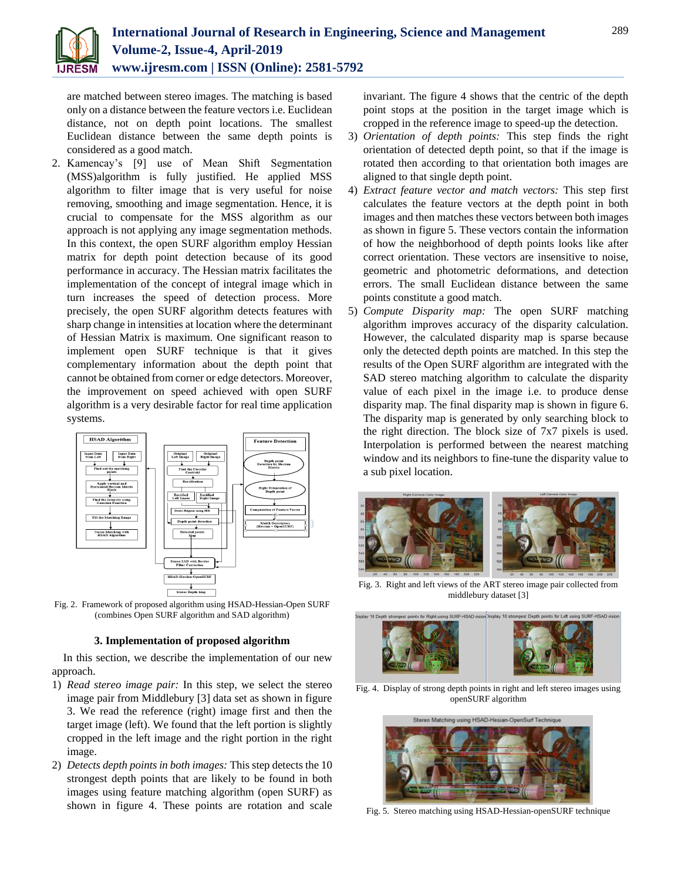

are matched between stereo images. The matching is based only on a distance between the feature vectors i.e. Euclidean distance, not on depth point locations. The smallest Euclidean distance between the same depth points is considered as a good match.

2. Kamencay's [9] use of Mean Shift Segmentation (MSS)algorithm is fully justified. He applied MSS algorithm to filter image that is very useful for noise removing, smoothing and image segmentation. Hence, it is crucial to compensate for the MSS algorithm as our approach is not applying any image segmentation methods. In this context, the open SURF algorithm employ Hessian matrix for depth point detection because of its good performance in accuracy. The Hessian matrix facilitates the implementation of the concept of integral image which in turn increases the speed of detection process. More precisely, the open SURF algorithm detects features with sharp change in intensities at location where the determinant of Hessian Matrix is maximum. One significant reason to implement open SURF technique is that it gives complementary information about the depth point that cannot be obtained from corner or edge detectors. Moreover, the improvement on speed achieved with open SURF algorithm is a very desirable factor for real time application systems.



Fig. 2. Framework of proposed algorithm using HSAD-Hessian-Open SURF (combines Open SURF algorithm and SAD algorithm)

## **3. Implementation of proposed algorithm**

In this section, we describe the implementation of our new approach.

- 1) *Read stereo image pair:* In this step, we select the stereo image pair from Middlebury [3] data set as shown in figure 3. We read the reference (right) image first and then the target image (left). We found that the left portion is slightly cropped in the left image and the right portion in the right image.
- 2) *Detects depth points in both images:* This step detects the 10 strongest depth points that are likely to be found in both images using feature matching algorithm (open SURF) as shown in figure 4. These points are rotation and scale

invariant. The figure 4 shows that the centric of the depth point stops at the position in the target image which is cropped in the reference image to speed-up the detection.

- 3) *Orientation of depth points:* This step finds the right orientation of detected depth point, so that if the image is rotated then according to that orientation both images are aligned to that single depth point.
- 4) *Extract feature vector and match vectors:* This step first calculates the feature vectors at the depth point in both images and then matches these vectors between both images as shown in figure 5. These vectors contain the information of how the neighborhood of depth points looks like after correct orientation. These vectors are insensitive to noise, geometric and photometric deformations, and detection errors. The small Euclidean distance between the same points constitute a good match.
- 5) *Compute Disparity map:* The open SURF matching algorithm improves accuracy of the disparity calculation. However, the calculated disparity map is sparse because only the detected depth points are matched. In this step the results of the Open SURF algorithm are integrated with the SAD stereo matching algorithm to calculate the disparity value of each pixel in the image i.e. to produce dense disparity map. The final disparity map is shown in figure 6. The disparity map is generated by only searching block to the right direction. The block size of 7x7 pixels is used. Interpolation is performed between the nearest matching window and its neighbors to fine-tune the disparity value to a sub pixel location.



Fig. 3. Right and left views of the ART stereo image pair collected from middlebury dataset [3]



Fig. 4. Display of strong depth points in right and left stereo images using openSURF algorithm



Fig. 5. Stereo matching using HSAD-Hessian-openSURF technique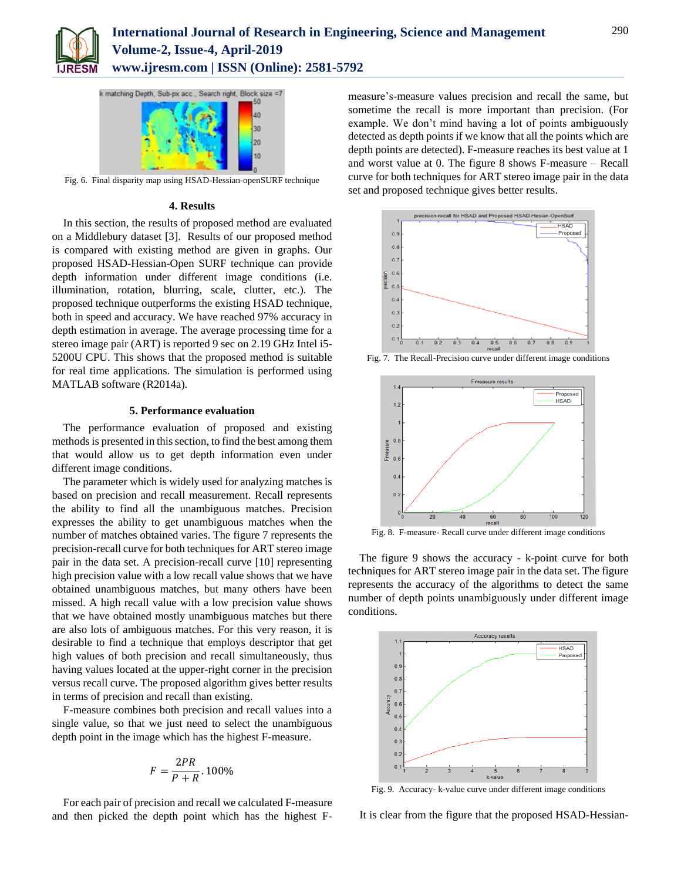



Fig. 6. Final disparity map using HSAD-Hessian-openSURF technique

## **4. Results**

In this section, the results of proposed method are evaluated on a Middlebury dataset [3]. Results of our proposed method is compared with existing method are given in graphs. Our proposed HSAD-Hessian-Open SURF technique can provide depth information under different image conditions (i.e. illumination, rotation, blurring, scale, clutter, etc.). The proposed technique outperforms the existing HSAD technique, both in speed and accuracy. We have reached 97% accuracy in depth estimation in average. The average processing time for a stereo image pair (ART) is reported 9 sec on 2.19 GHz Intel i5- 5200U CPU. This shows that the proposed method is suitable for real time applications. The simulation is performed using MATLAB software (R2014a).

## **5. Performance evaluation**

The performance evaluation of proposed and existing methods is presented in this section, to find the best among them that would allow us to get depth information even under different image conditions.

The parameter which is widely used for analyzing matches is based on precision and recall measurement. Recall represents the ability to find all the unambiguous matches. Precision expresses the ability to get unambiguous matches when the number of matches obtained varies. The figure 7 represents the precision-recall curve for both techniques for ART stereo image pair in the data set. A precision-recall curve [10] representing high precision value with a low recall value shows that we have obtained unambiguous matches, but many others have been missed. A high recall value with a low precision value shows that we have obtained mostly unambiguous matches but there are also lots of ambiguous matches. For this very reason, it is desirable to find a technique that employs descriptor that get high values of both precision and recall simultaneously, thus having values located at the upper-right corner in the precision versus recall curve. The proposed algorithm gives better results in terms of precision and recall than existing.

F-measure combines both precision and recall values into a single value, so that we just need to select the unambiguous depth point in the image which has the highest F-measure.

$$
F = \frac{2PR}{P + R} \cdot 100\%
$$

For each pair of precision and recall we calculated F-measure and then picked the depth point which has the highest F- measure's-measure values precision and recall the same, but sometime the recall is more important than precision. (For example. We don't mind having a lot of points ambiguously detected as depth points if we know that all the points which are depth points are detected). F-measure reaches its best value at 1 and worst value at 0. The figure 8 shows F-measure – Recall curve for both techniques for ART stereo image pair in the data set and proposed technique gives better results.



Fig. 7. The Recall-Precision curve under different image conditions



Fig. 8. F-measure- Recall curve under different image conditions

The figure 9 shows the accuracy - k-point curve for both techniques for ART stereo image pair in the data set. The figure represents the accuracy of the algorithms to detect the same number of depth points unambiguously under different image conditions.



Fig. 9. Accuracy- k-value curve under different image conditions

It is clear from the figure that the proposed HSAD-Hessian-